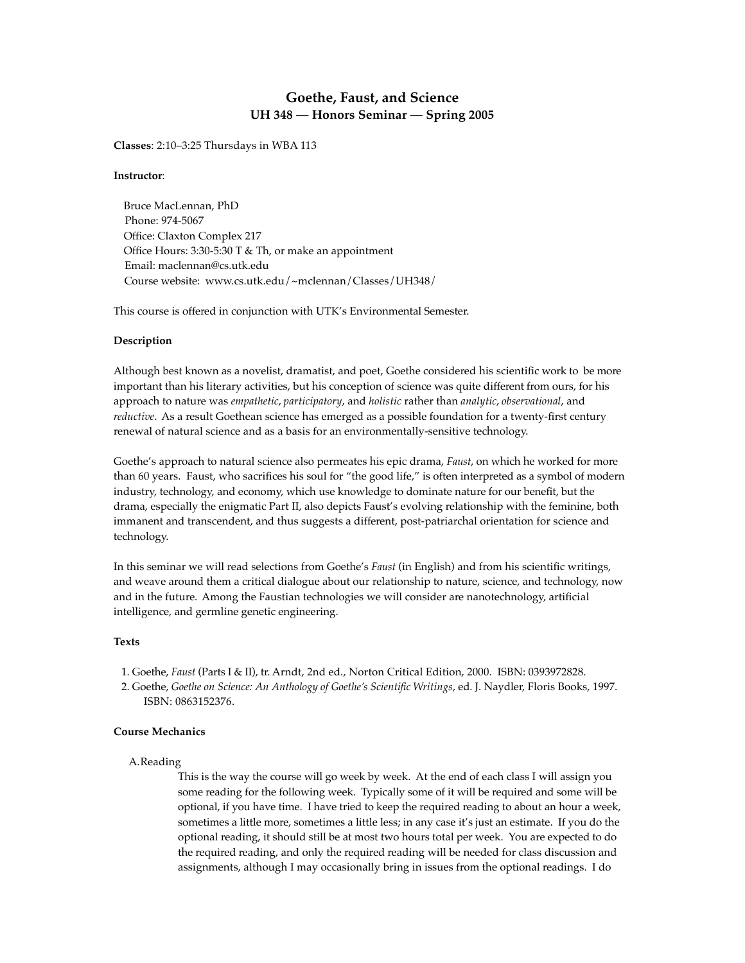# **Goethe, Faust, and Science UH 348 — Honors Seminar — Spring 2005**

**Classes**: 2:10–3:25 Thursdays in WBA 113

### **Instructor**:

 Bruce MacLennan, PhD Phone: 974-5067 Office: Claxton Complex 217 Office Hours: 3:30-5:30 T & Th, or make an appointment Email: maclennan@cs.utk.edu Course website: www.cs.utk.edu/~mclennan/Classes/UH348/

This course is offered in conjunction with UTK's Environmental Semester.

### **Description**

Although best known as a novelist, dramatist, and poet, Goethe considered his scientific work to be more important than his literary activities, but his conception of science was quite different from ours, for his approach to nature was *empathetic*, *participatory*, and *holistic* rather than *analytic*, *observational*, and *reductive*. As a result Goethean science has emerged as a possible foundation for a twenty-first century renewal of natural science and as a basis for an environmentally-sensitive technology.

Goethe's approach to natural science also permeates his epic drama, *Faust*, on which he worked for more than 60 years. Faust, who sacrifices his soul for "the good life," is often interpreted as a symbol of modern industry, technology, and economy, which use knowledge to dominate nature for our benefit, but the drama, especially the enigmatic Part II, also depicts Faust's evolving relationship with the feminine, both immanent and transcendent, and thus suggests a different, post-patriarchal orientation for science and technology.

In this seminar we will read selections from Goethe's *Faust* (in English) and from his scientific writings, and weave around them a critical dialogue about our relationship to nature, science, and technology, now and in the future. Among the Faustian technologies we will consider are nanotechnology, artificial intelligence, and germline genetic engineering.

### **Texts**

- 1. Goethe, *Faust* (Parts I & II), tr. Arndt, 2nd ed., Norton Critical Edition, 2000. ISBN: 0393972828.
- 2. Goethe, *Goethe on Science: An Anthology of Goethe's Scientific Writings*, ed. J. Naydler, Floris Books, 1997. ISBN: 0863152376.

# **Course Mechanics**

### A.Reading

This is the way the course will go week by week. At the end of each class I will assign you some reading for the following week. Typically some of it will be required and some will be optional, if you have time. I have tried to keep the required reading to about an hour a week, sometimes a little more, sometimes a little less; in any case it's just an estimate. If you do the optional reading, it should still be at most two hours total per week. You are expected to do the required reading, and only the required reading will be needed for class discussion and assignments, although I may occasionally bring in issues from the optional readings. I do